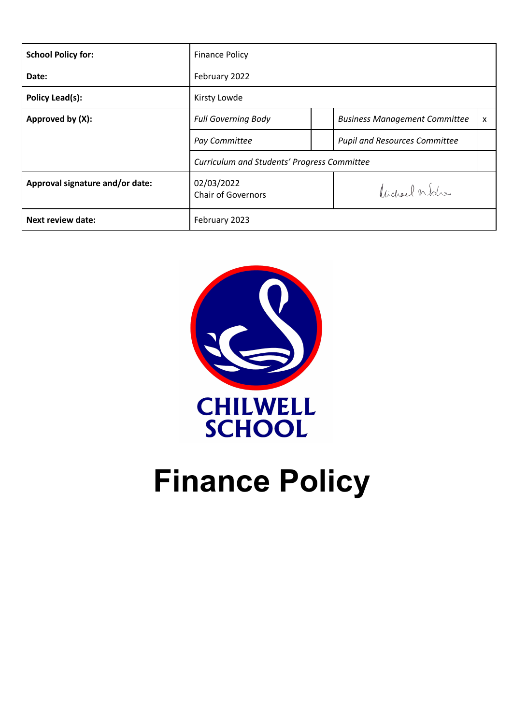| <b>School Policy for:</b>       | <b>Finance Policy</b>                       |  |                                      |   |
|---------------------------------|---------------------------------------------|--|--------------------------------------|---|
| Date:                           | February 2022                               |  |                                      |   |
| Policy Lead(s):                 | Kirsty Lowde                                |  |                                      |   |
| Approved by (X):                | <b>Full Governing Body</b>                  |  | <b>Business Management Committee</b> | x |
|                                 | Pay Committee                               |  | <b>Pupil and Resources Committee</b> |   |
|                                 | Curriculum and Students' Progress Committee |  |                                      |   |
| Approval signature and/or date: | 02/03/2022<br><b>Chair of Governors</b>     |  | Victorel Wohn                        |   |
| <b>Next review date:</b>        | February 2023                               |  |                                      |   |



# **Finance Policy**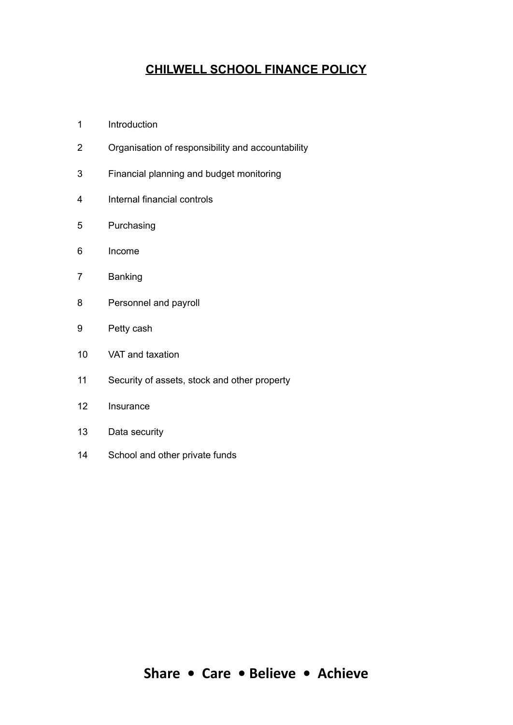# **CHILWELL SCHOOL FINANCE POLICY**

- Introduction
- Organisation of responsibility and accountability
- Financial planning and budget monitoring
- Internal financial controls
- Purchasing
- Income
- Banking
- Personnel and payroll
- Petty cash
- VAT and taxation
- Security of assets, stock and other property
- Insurance
- Data security
- School and other private funds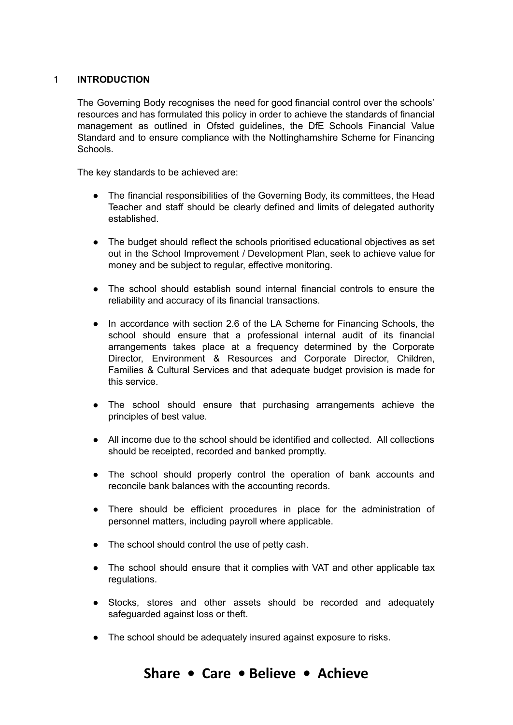## 1 **INTRODUCTION**

The Governing Body recognises the need for good financial control over the schools' resources and has formulated this policy in order to achieve the standards of financial management as outlined in Ofsted guidelines, the DfE Schools Financial Value Standard and to ensure compliance with the Nottinghamshire Scheme for Financing Schools.

The key standards to be achieved are:

- The financial responsibilities of the Governing Body, its committees, the Head Teacher and staff should be clearly defined and limits of delegated authority established.
- The budget should reflect the schools prioritised educational objectives as set out in the School Improvement / Development Plan, seek to achieve value for money and be subject to regular, effective monitoring.
- The school should establish sound internal financial controls to ensure the reliability and accuracy of its financial transactions.
- In accordance with section 2.6 of the LA Scheme for Financing Schools, the school should ensure that a professional internal audit of its financial arrangements takes place at a frequency determined by the Corporate Director, Environment & Resources and Corporate Director, Children, Families & Cultural Services and that adequate budget provision is made for this service.
- The school should ensure that purchasing arrangements achieve the principles of best value.
- All income due to the school should be identified and collected. All collections should be receipted, recorded and banked promptly.
- The school should properly control the operation of bank accounts and reconcile bank balances with the accounting records.
- There should be efficient procedures in place for the administration of personnel matters, including payroll where applicable.
- The school should control the use of petty cash.
- The school should ensure that it complies with VAT and other applicable tax regulations.
- Stocks, stores and other assets should be recorded and adequately safeguarded against loss or theft.
- The school should be adequately insured against exposure to risks.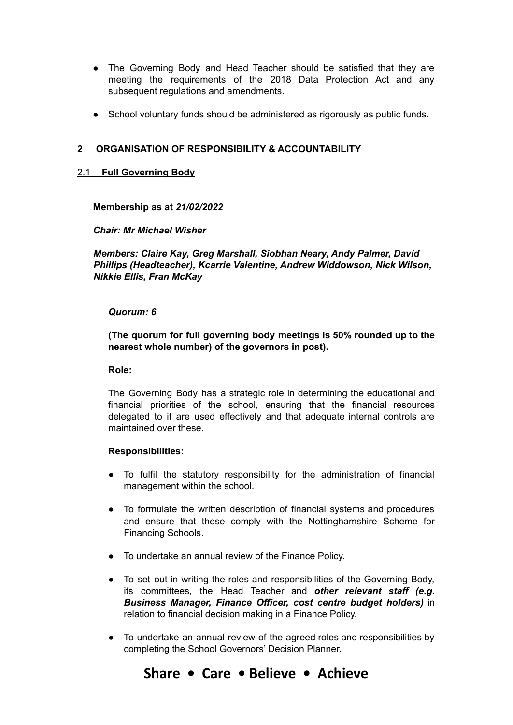- The Governing Body and Head Teacher should be satisfied that they are meeting the requirements of the 2018 Data Protection Act and any subsequent regulations and amendments.
- School voluntary funds should be administered as rigorously as public funds.

## **2 ORGANISATION OF RESPONSIBILITY & ACCOUNTABILITY**

## 2.1 **Full Governing Body**

#### **Membership as at** *21/02/2022*

#### *Chair: Mr Michael Wisher*

*Members: Claire Kay, Greg Marshall, Siobhan Neary, Andy Palmer, David Phillips (Headteacher), Kcarrie Valentine, Andrew Widdowson, Nick Wilson, Nikkie Ellis, Fran McKay*

#### *Quorum: 6*

**(The quorum for full governing body meetings is 50% rounded up to the nearest whole number) of the governors in post).**

#### **Role:**

The Governing Body has a strategic role in determining the educational and financial priorities of the school, ensuring that the financial resources delegated to it are used effectively and that adequate internal controls are maintained over these.

#### **Responsibilities:**

- To fulfil the statutory responsibility for the administration of financial management within the school.
- To formulate the written description of financial systems and procedures and ensure that these comply with the Nottinghamshire Scheme for Financing Schools.
- To undertake an annual review of the Finance Policy.
- To set out in writing the roles and responsibilities of the Governing Body, its committees, the Head Teacher and *other relevant staff (e.g. Business Manager, Finance Officer, cost centre budget holders)* in relation to financial decision making in a Finance Policy.
- To undertake an annual review of the agreed roles and responsibilities by completing the School Governors' Decision Planner.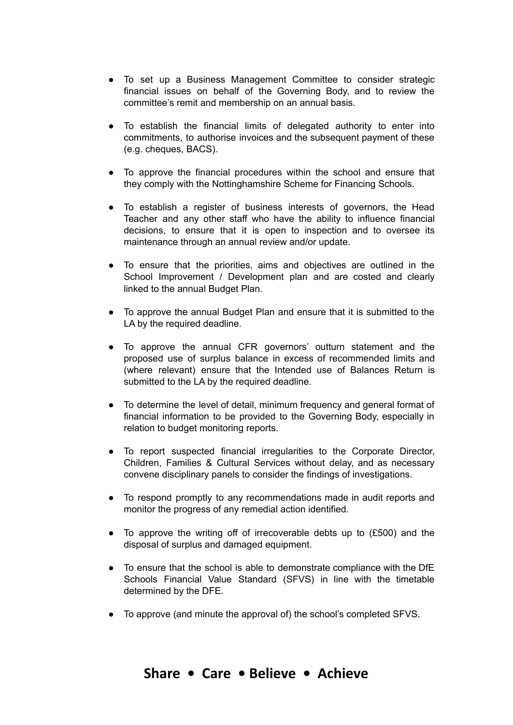- To set up a Business Management Committee to consider strategic financial issues on behalf of the Governing Body, and to review the committee's remit and membership on an annual basis.
- To establish the financial limits of delegated authority to enter into commitments, to authorise invoices and the subsequent payment of these (e.g. cheques, BACS).
- To approve the financial procedures within the school and ensure that they comply with the Nottinghamshire Scheme for Financing Schools.
- To establish a register of business interests of governors, the Head Teacher and any other staff who have the ability to influence financial decisions, to ensure that it is open to inspection and to oversee its maintenance through an annual review and/or update.
- To ensure that the priorities, aims and objectives are outlined in the School Improvement / Development plan and are costed and clearly linked to the annual Budget Plan.
- To approve the annual Budget Plan and ensure that it is submitted to the LA by the required deadline.
- To approve the annual CFR governors' outturn statement and the proposed use of surplus balance in excess of recommended limits and (where relevant) ensure that the Intended use of Balances Return is submitted to the LA by the required deadline.
- To determine the level of detail, minimum frequency and general format of financial information to be provided to the Governing Body, especially in relation to budget monitoring reports.
- To report suspected financial irregularities to the Corporate Director, Children, Families & Cultural Services without delay, and as necessary convene disciplinary panels to consider the findings of investigations.
- To respond promptly to any recommendations made in audit reports and monitor the progress of any remedial action identified.
- To approve the writing off of irrecoverable debts up to (£500) and the disposal of surplus and damaged equipment.
- To ensure that the school is able to demonstrate compliance with the DfE Schools Financial Value Standard (SFVS) in line with the timetable determined by the DFE.
- To approve (and minute the approval of) the school's completed SFVS.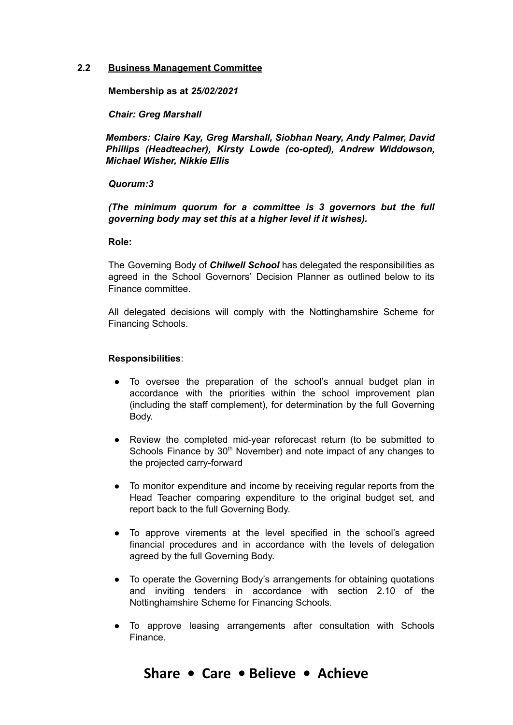#### **2.2 Business Management Committee**

**Membership as at** *25/02/2021*

*Chair: Greg Marshall*

*Members: Claire Kay, Greg Marshall, Siobhan Neary, Andy Palmer, David Phillips (Headteacher), Kirsty Lowde (co-opted), Andrew Widdowson, Michael Wisher, Nikkie Ellis*

#### *Quorum:3*

*(The minimum quorum for a committee is 3 governors but the full governing body may set this at a higher level if it wishes).*

#### **Role:**

The Governing Body of *Chilwell School* has delegated the responsibilities as agreed in the School Governors' Decision Planner as outlined below to its Finance committee.

All delegated decisions will comply with the Nottinghamshire Scheme for Financing Schools.

#### **Responsibilities**:

- To oversee the preparation of the school's annual budget plan in accordance with the priorities within the school improvement plan (including the staff complement), for determination by the full Governing Body.
- Review the completed mid-year reforecast return (to be submitted to Schools Finance by 30<sup>th</sup> November) and note impact of any changes to the projected carry-forward
- To monitor expenditure and income by receiving regular reports from the Head Teacher comparing expenditure to the original budget set, and report back to the full Governing Body.
- To approve virements at the level specified in the school's agreed financial procedures and in accordance with the levels of delegation agreed by the full Governing Body.
- To operate the Governing Body's arrangements for obtaining quotations and inviting tenders in accordance with section 2.10 of the Nottinghamshire Scheme for Financing Schools.
- To approve leasing arrangements after consultation with Schools Finance.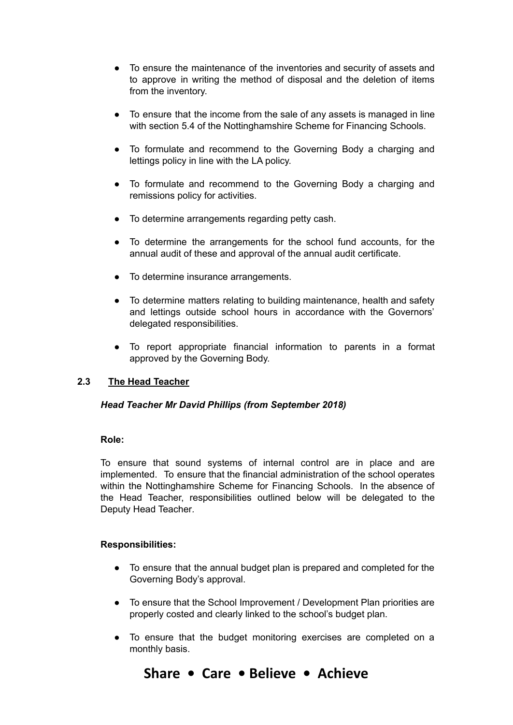- To ensure the maintenance of the inventories and security of assets and to approve in writing the method of disposal and the deletion of items from the inventory.
- To ensure that the income from the sale of any assets is managed in line with section 5.4 of the Nottinghamshire Scheme for Financing Schools.
- To formulate and recommend to the Governing Body a charging and lettings policy in line with the LA policy.
- To formulate and recommend to the Governing Body a charging and remissions policy for activities.
- To determine arrangements regarding petty cash.
- To determine the arrangements for the school fund accounts, for the annual audit of these and approval of the annual audit certificate.
- To determine insurance arrangements.
- To determine matters relating to building maintenance, health and safety and lettings outside school hours in accordance with the Governors' delegated responsibilities.
- To report appropriate financial information to parents in a format approved by the Governing Body.

# **2.3 The Head Teacher**

## *Head Teacher Mr David Phillips (from September 2018)*

## **Role:**

To ensure that sound systems of internal control are in place and are implemented. To ensure that the financial administration of the school operates within the Nottinghamshire Scheme for Financing Schools. In the absence of the Head Teacher, responsibilities outlined below will be delegated to the Deputy Head Teacher*.*

## **Responsibilities:**

- To ensure that the annual budget plan is prepared and completed for the Governing Body's approval.
- To ensure that the School Improvement / Development Plan priorities are properly costed and clearly linked to the school's budget plan.
- To ensure that the budget monitoring exercises are completed on a monthly basis.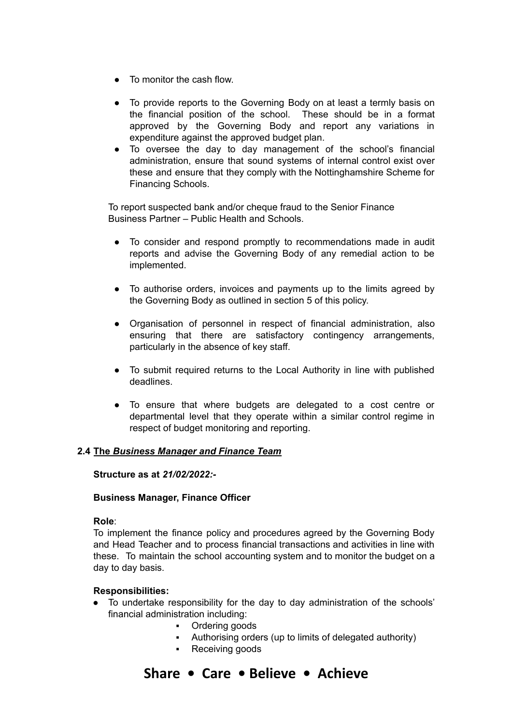- To monitor the cash flow.
- To provide reports to the Governing Body on at least a termly basis on the financial position of the school. These should be in a format approved by the Governing Body and report any variations in expenditure against the approved budget plan.
- To oversee the day to day management of the school's financial administration, ensure that sound systems of internal control exist over these and ensure that they comply with the Nottinghamshire Scheme for Financing Schools.

To report suspected bank and/or cheque fraud to the Senior Finance Business Partner – Public Health and Schools.

- To consider and respond promptly to recommendations made in audit reports and advise the Governing Body of any remedial action to be implemented.
- To authorise orders, invoices and payments up to the limits agreed by the Governing Body as outlined in section 5 of this policy.
- Organisation of personnel in respect of financial administration, also ensuring that there are satisfactory contingency arrangements, particularly in the absence of key staff.
- To submit required returns to the Local Authority in line with published deadlines.
- To ensure that where budgets are delegated to a cost centre or departmental level that they operate within a similar control regime in respect of budget monitoring and reporting.

## **2.4 The** *Business Manager and Finance Team*

#### **Structure as at** *21/02/2022:-*

#### **Business Manager, Finance Officer**

#### **Role**:

To implement the finance policy and procedures agreed by the Governing Body and Head Teacher and to process financial transactions and activities in line with these. To maintain the school accounting system and to monitor the budget on a day to day basis.

#### **Responsibilities:**

- To undertake responsibility for the day to day administration of the schools' financial administration including:
	- Ordering goods
	- Authorising orders (up to limits of delegated authority)
	- Receiving goods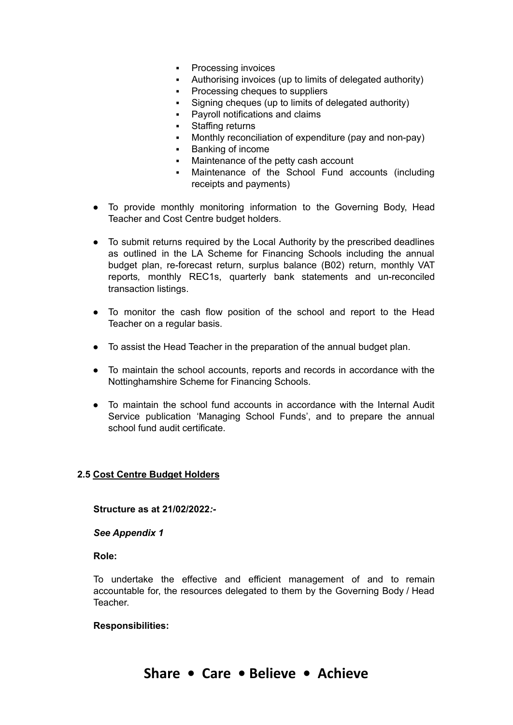- **Processing invoices**
- Authorising invoices (up to limits of delegated authority)
- Processing cheques to suppliers
- Signing cheques (up to limits of delegated authority)
- Payroll notifications and claims
- Staffing returns
- Monthly reconciliation of expenditure (pay and non-pay)
- Banking of income
- Maintenance of the petty cash account
- Maintenance of the School Fund accounts (including receipts and payments)
- To provide monthly monitoring information to the Governing Body, Head Teacher and Cost Centre budget holders.
- To submit returns required by the Local Authority by the prescribed deadlines as outlined in the LA Scheme for Financing Schools including the annual budget plan, re-forecast return, surplus balance (B02) return, monthly VAT reports*,* monthly REC1s, quarterly bank statements and un-reconciled transaction listings.
- To monitor the cash flow position of the school and report to the Head Teacher on a regular basis.
- To assist the Head Teacher in the preparation of the annual budget plan.
- To maintain the school accounts, reports and records in accordance with the Nottinghamshire Scheme for Financing Schools.
- To maintain the school fund accounts in accordance with the Internal Audit Service publication 'Managing School Funds', and to prepare the annual school fund audit certificate.

# **2.5 Cost Centre Budget Holders**

## **Structure as at 21/02/2022***:-*

*See Appendix 1*

**Role:**

To undertake the effective and efficient management of and to remain accountable for, the resources delegated to them by the Governing Body / Head Teacher.

## **Responsibilities:**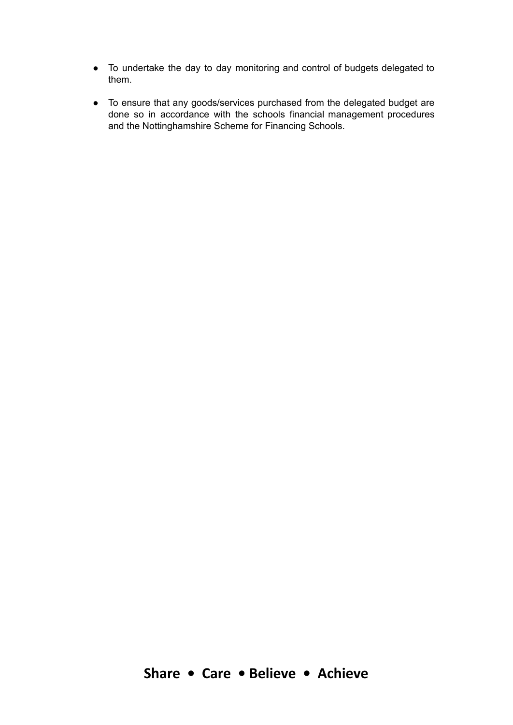- To undertake the day to day monitoring and control of budgets delegated to them.
- To ensure that any goods/services purchased from the delegated budget are done so in accordance with the schools financial management procedures and the Nottinghamshire Scheme for Financing Schools.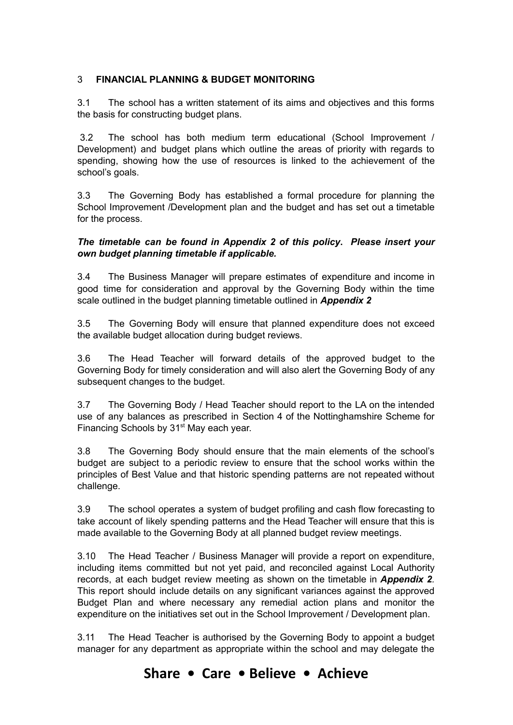# 3 **FINANCIAL PLANNING & BUDGET MONITORING**

3.1 The school has a written statement of its aims and objectives and this forms the basis for constructing budget plans.

3.2 The school has both medium term educational (School Improvement / Development) and budget plans which outline the areas of priority with regards to spending, showing how the use of resources is linked to the achievement of the school's goals.

3.3 The Governing Body has established a formal procedure for planning the School Improvement /Development plan and the budget and has set out a timetable for the process.

## *The timetable can be found in Appendix 2 of this policy***.** *Please insert your own budget planning timetable if applicable.*

3.4 The Business Manager will prepare estimates of expenditure and income in good time for consideration and approval by the Governing Body within the time scale outlined in the budget planning timetable outlined in *Appendix 2*

3.5 The Governing Body will ensure that planned expenditure does not exceed the available budget allocation during budget reviews.

3.6 The Head Teacher will forward details of the approved budget to the Governing Body for timely consideration and will also alert the Governing Body of any subsequent changes to the budget.

3.7 The Governing Body / Head Teacher should report to the LA on the intended use of any balances as prescribed in Section 4 of the Nottinghamshire Scheme for Financing Schools by 31<sup>st</sup> May each year.

3.8 The Governing Body should ensure that the main elements of the school's budget are subject to a periodic review to ensure that the school works within the principles of Best Value and that historic spending patterns are not repeated without challenge.

3.9 The school operates a system of budget profiling and cash flow forecasting to take account of likely spending patterns and the Head Teacher will ensure that this is made available to the Governing Body at all planned budget review meetings.

3.10 The Head Teacher / Business Manager will provide a report on expenditure, including items committed but not yet paid, and reconciled against Local Authority records, at each budget review meeting as shown on the timetable in *Appendix 2.* This report should include details on any significant variances against the approved Budget Plan and where necessary any remedial action plans and monitor the expenditure on the initiatives set out in the School Improvement / Development plan.

3.11 The Head Teacher is authorised by the Governing Body to appoint a budget manager for any department as appropriate within the school and may delegate the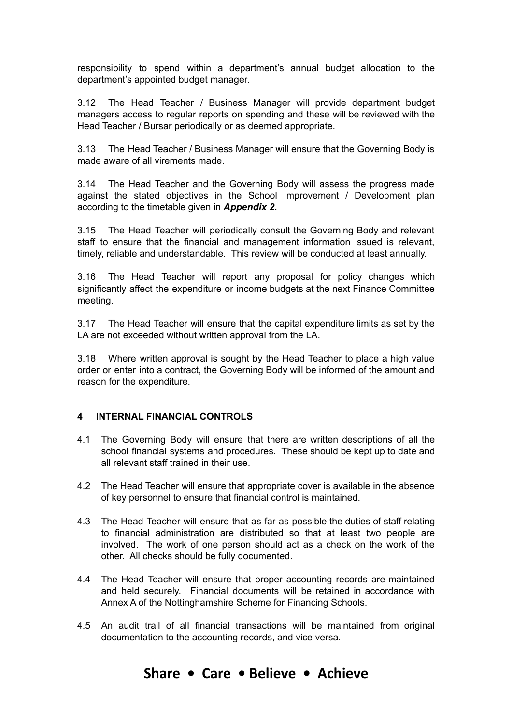responsibility to spend within a department's annual budget allocation to the department's appointed budget manager.

3.12 The Head Teacher / Business Manager will provide department budget managers access to regular reports on spending and these will be reviewed with the Head Teacher / Bursar periodically or as deemed appropriate.

3.13 The Head Teacher / Business Manager will ensure that the Governing Body is made aware of all virements made.

3.14 The Head Teacher and the Governing Body will assess the progress made against the stated objectives in the School Improvement / Development plan according to the timetable given in *Appendix 2***.**

3.15 The Head Teacher will periodically consult the Governing Body and relevant staff to ensure that the financial and management information issued is relevant, timely, reliable and understandable. This review will be conducted at least annually.

3.16 The Head Teacher will report any proposal for policy changes which significantly affect the expenditure or income budgets at the next Finance Committee meeting.

3.17 The Head Teacher will ensure that the capital expenditure limits as set by the LA are not exceeded without written approval from the LA.

3.18 Where written approval is sought by the Head Teacher to place a high value order or enter into a contract, the Governing Body will be informed of the amount and reason for the expenditure.

## **4 INTERNAL FINANCIAL CONTROLS**

- 4.1 The Governing Body will ensure that there are written descriptions of all the school financial systems and procedures. These should be kept up to date and all relevant staff trained in their use.
- 4.2 The Head Teacher will ensure that appropriate cover is available in the absence of key personnel to ensure that financial control is maintained.
- 4.3 The Head Teacher will ensure that as far as possible the duties of staff relating to financial administration are distributed so that at least two people are involved. The work of one person should act as a check on the work of the other. All checks should be fully documented.
- 4.4 The Head Teacher will ensure that proper accounting records are maintained and held securely. Financial documents will be retained in accordance with Annex A of the Nottinghamshire Scheme for Financing Schools.
- 4.5 An audit trail of all financial transactions will be maintained from original documentation to the accounting records, and vice versa.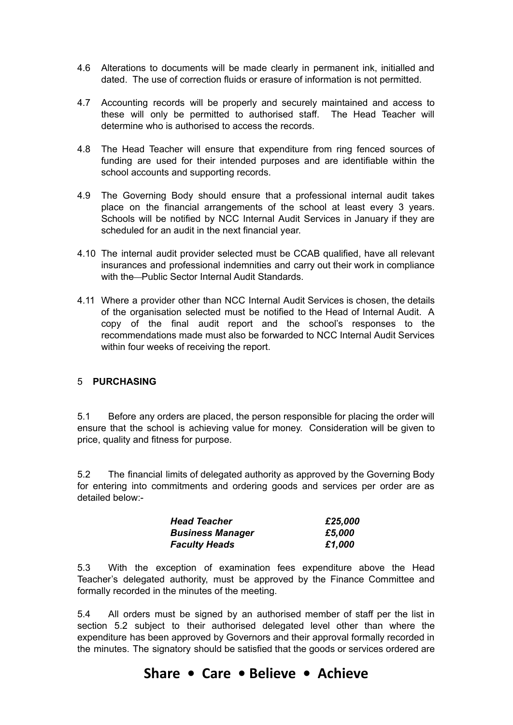- 4.6 Alterations to documents will be made clearly in permanent ink, initialled and dated. The use of correction fluids or erasure of information is not permitted.
- 4.7 Accounting records will be properly and securely maintained and access to these will only be permitted to authorised staff. The Head Teacher will determine who is authorised to access the records.
- 4.8 The Head Teacher will ensure that expenditure from ring fenced sources of funding are used for their intended purposes and are identifiable within the school accounts and supporting records.
- 4.9 The Governing Body should ensure that a professional internal audit takes place on the financial arrangements of the school at least every 3 years. Schools will be notified by NCC Internal Audit Services in January if they are scheduled for an audit in the next financial year.
- 4.10 The internal audit provider selected must be CCAB qualified, have all relevant insurances and professional indemnities and carry out their work in compliance with the-Public Sector Internal Audit Standards.
- 4.11 Where a provider other than NCC Internal Audit Services is chosen, the details of the organisation selected must be notified to the Head of Internal Audit. A copy of the final audit report and the school's responses to the recommendations made must also be forwarded to NCC Internal Audit Services within four weeks of receiving the report.

## 5 **PURCHASING**

5.1 Before any orders are placed, the person responsible for placing the order will ensure that the school is achieving value for money. Consideration will be given to price, quality and fitness for purpose.

5.2 The financial limits of delegated authority as approved by the Governing Body for entering into commitments and ordering goods and services per order are as detailed below:-

| <b>Head Teacher</b>     | £25,000 |
|-------------------------|---------|
| <b>Business Manager</b> | £5.000  |
| <b>Faculty Heads</b>    | £1,000  |

5.3 With the exception of examination fees expenditure above the Head Teacher's delegated authority, must be approved by the Finance Committee and formally recorded in the minutes of the meeting.

5.4 All orders must be signed by an authorised member of staff per the list in section 5.2 subject to their authorised delegated level other than where the expenditure has been approved by Governors and their approval formally recorded in the minutes. The signatory should be satisfied that the goods or services ordered are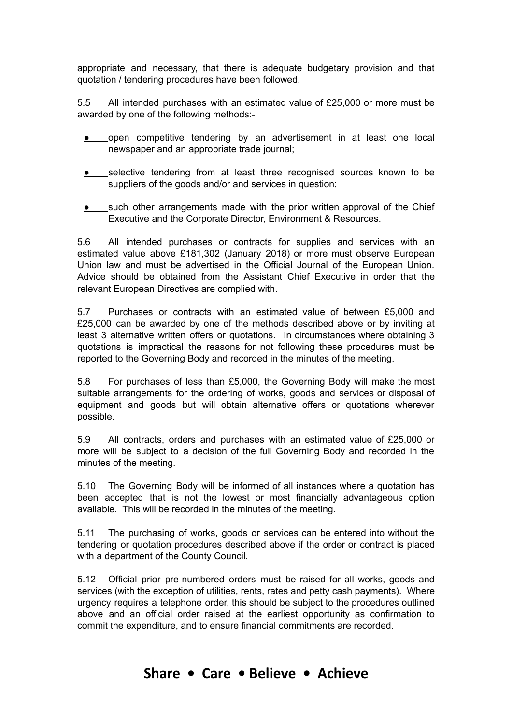appropriate and necessary, that there is adequate budgetary provision and that quotation / tendering procedures have been followed.

5.5 All intended purchases with an estimated value of £25,000 or more must be awarded by one of the following methods:-

- **•** open competitive tendering by an advertisement in at least one local newspaper and an appropriate trade journal;
- selective tendering from at least three recognised sources known to be suppliers of the goods and/or and services in question;
- such other arrangements made with the prior written approval of the Chief Executive and the Corporate Director, Environment & Resources.

5.6 All intended purchases or contracts for supplies and services with an estimated value above £181,302 (January 2018) or more must observe European Union law and must be advertised in the Official Journal of the European Union. Advice should be obtained from the Assistant Chief Executive in order that the relevant European Directives are complied with.

5.7 Purchases or contracts with an estimated value of between £5,000 and £25,000 can be awarded by one of the methods described above or by inviting at least 3 alternative written offers or quotations. In circumstances where obtaining 3 quotations is impractical the reasons for not following these procedures must be reported to the Governing Body and recorded in the minutes of the meeting.

5.8 For purchases of less than £5,000, the Governing Body will make the most suitable arrangements for the ordering of works, goods and services or disposal of equipment and goods but will obtain alternative offers or quotations wherever possible.

5.9 All contracts, orders and purchases with an estimated value of £25,000 or more will be subject to a decision of the full Governing Body and recorded in the minutes of the meeting.

5.10 The Governing Body will be informed of all instances where a quotation has been accepted that is not the lowest or most financially advantageous option available. This will be recorded in the minutes of the meeting.

5.11 The purchasing of works, goods or services can be entered into without the tendering or quotation procedures described above if the order or contract is placed with a department of the County Council.

5.12 Official prior pre-numbered orders must be raised for all works, goods and services (with the exception of utilities, rents, rates and petty cash payments). Where urgency requires a telephone order, this should be subject to the procedures outlined above and an official order raised at the earliest opportunity as confirmation to commit the expenditure, and to ensure financial commitments are recorded.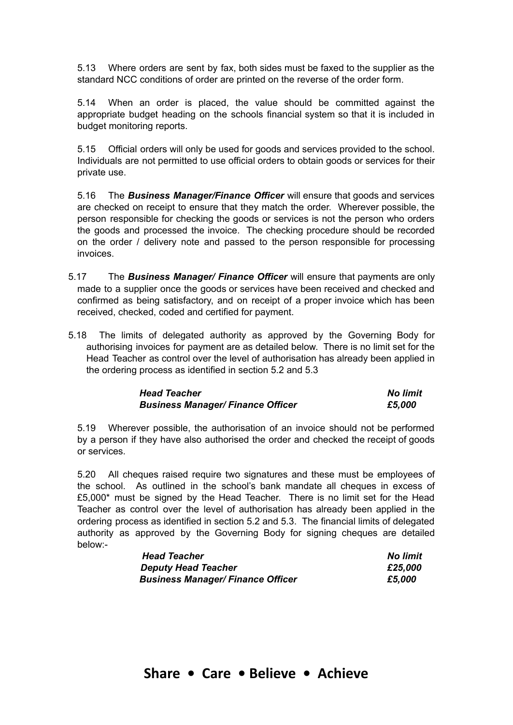5.13 Where orders are sent by fax, both sides must be faxed to the supplier as the standard NCC conditions of order are printed on the reverse of the order form.

5.14 When an order is placed, the value should be committed against the appropriate budget heading on the schools financial system so that it is included in budget monitoring reports.

5.15 Official orders will only be used for goods and services provided to the school. Individuals are not permitted to use official orders to obtain goods or services for their private use.

5.16 The *Business Manager/Finance Officer* will ensure that goods and services are checked on receipt to ensure that they match the order. Wherever possible, the person responsible for checking the goods or services is not the person who orders the goods and processed the invoice. The checking procedure should be recorded on the order / delivery note and passed to the person responsible for processing invoices.

- 5.17 The *Business Manager/ Finance Officer* will ensure that payments are only made to a supplier once the goods or services have been received and checked and confirmed as being satisfactory, and on receipt of a proper invoice which has been received, checked, coded and certified for payment.
- 5.18 The limits of delegated authority as approved by the Governing Body for authorising invoices for payment are as detailed below. There is no limit set for the Head Teacher as control over the level of authorisation has already been applied in the ordering process as identified in section 5.2 and 5.3

| <b>Head Teacher</b>                      | <b>No limit</b> |  |
|------------------------------------------|-----------------|--|
| <b>Business Manager/ Finance Officer</b> | £5,000          |  |

5.19 Wherever possible, the authorisation of an invoice should not be performed by a person if they have also authorised the order and checked the receipt of goods or services.

5.20 All cheques raised require two signatures and these must be employees of the school. As outlined in the school's bank mandate all cheques in excess of £5,000\* must be signed by the Head Teacher. There is no limit set for the Head Teacher as control over the level of authorisation has already been applied in the ordering process as identified in section 5.2 and 5.3. The financial limits of delegated authority as approved by the Governing Body for signing cheques are detailed below:-

| <b>Head Teacher</b>                      | No limit |
|------------------------------------------|----------|
| <b>Deputy Head Teacher</b>               | £25,000  |
| <b>Business Manager/ Finance Officer</b> | £5,000   |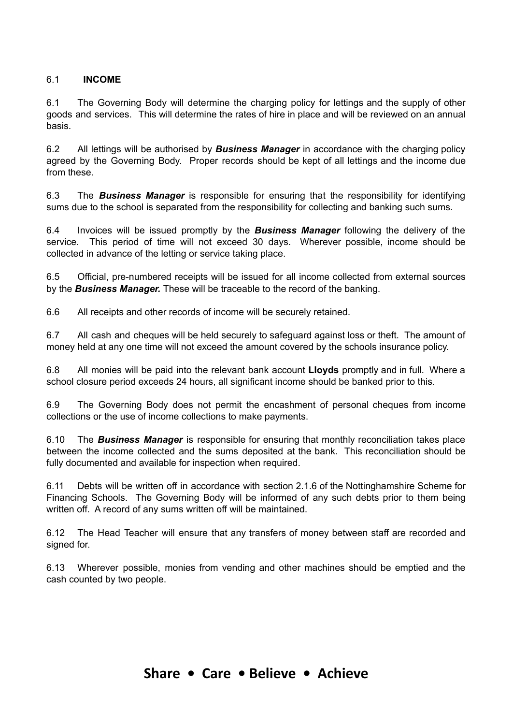## 6.1 **INCOME**

6.1 The Governing Body will determine the charging policy for lettings and the supply of other goods and services. This will determine the rates of hire in place and will be reviewed on an annual basis.

6.2 All lettings will be authorised by *Business Manager* in accordance with the charging policy agreed by the Governing Body. Proper records should be kept of all lettings and the income due from these.

6.3 The *Business Manager* is responsible for ensuring that the responsibility for identifying sums due to the school is separated from the responsibility for collecting and banking such sums.

6.4 Invoices will be issued promptly by the *Business Manager* following the delivery of the service. This period of time will not exceed 30 days. Wherever possible, income should be collected in advance of the letting or service taking place.

6.5 Official, pre-numbered receipts will be issued for all income collected from external sources by the *Business Manager.* These will be traceable to the record of the banking.

6.6 All receipts and other records of income will be securely retained.

6.7 All cash and cheques will be held securely to safeguard against loss or theft. The amount of money held at any one time will not exceed the amount covered by the schools insurance policy.

6.8 All monies will be paid into the relevant bank account **Lloyds** promptly and in full. Where a school closure period exceeds 24 hours, all significant income should be banked prior to this.

6.9 The Governing Body does not permit the encashment of personal cheques from income collections or the use of income collections to make payments.

6.10 The *Business Manager* is responsible for ensuring that monthly reconciliation takes place between the income collected and the sums deposited at the bank. This reconciliation should be fully documented and available for inspection when required.

6.11 Debts will be written off in accordance with section 2.1.6 of the Nottinghamshire Scheme for Financing Schools. The Governing Body will be informed of any such debts prior to them being written off. A record of any sums written off will be maintained.

6.12 The Head Teacher will ensure that any transfers of money between staff are recorded and signed for.

6.13 Wherever possible, monies from vending and other machines should be emptied and the cash counted by two people.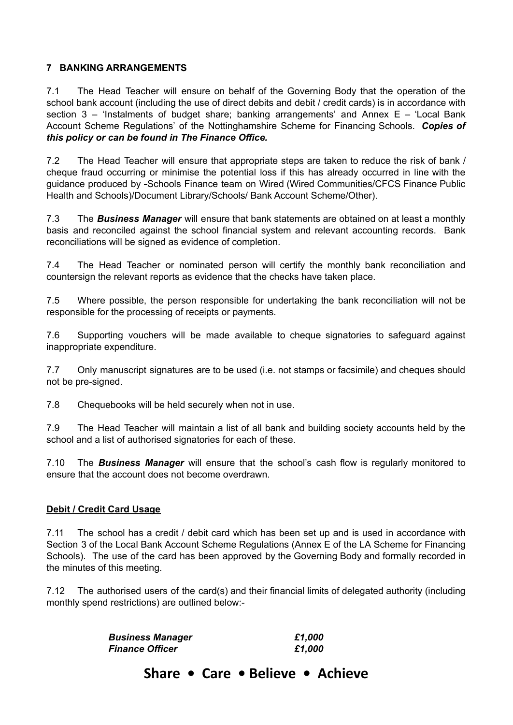## **7 BANKING ARRANGEMENTS**

7.1 The Head Teacher will ensure on behalf of the Governing Body that the operation of the school bank account (including the use of direct debits and debit / credit cards) is in accordance with section  $3$  – 'Instalments of budget share; banking arrangements' and Annex E – 'Local Bank Account Scheme Regulations' of the Nottinghamshire Scheme for Financing Schools. *Copies of this policy or can be found in The Finance Office.*

7.2 The Head Teacher will ensure that appropriate steps are taken to reduce the risk of bank / cheque fraud occurring or minimise the potential loss if this has already occurred in line with the guidance produced by -Schools Finance team on Wired (Wired Communities/CFCS Finance Public Health and Schools)/Document Library/Schools/ Bank Account Scheme/Other).

7.3 The *Business Manager* will ensure that bank statements are obtained on at least a monthly basis and reconciled against the school financial system and relevant accounting records. Bank reconciliations will be signed as evidence of completion.

7.4 The Head Teacher or nominated person will certify the monthly bank reconciliation and countersign the relevant reports as evidence that the checks have taken place.

7.5 Where possible, the person responsible for undertaking the bank reconciliation will not be responsible for the processing of receipts or payments.

7.6 Supporting vouchers will be made available to cheque signatories to safeguard against inappropriate expenditure.

7.7 Only manuscript signatures are to be used (i.e. not stamps or facsimile) and cheques should not be pre-signed.

7.8 Chequebooks will be held securely when not in use.

7.9 The Head Teacher will maintain a list of all bank and building society accounts held by the school and a list of authorised signatories for each of these.

7.10 The *Business Manager* will ensure that the school's cash flow is regularly monitored to ensure that the account does not become overdrawn.

# **Debit / Credit Card Usage**

7.11 The school has a credit / debit card which has been set up and is used in accordance with Section 3 of the Local Bank Account Scheme Regulations (Annex E of the LA Scheme for Financing Schools). The use of the card has been approved by the Governing Body and formally recorded in the minutes of this meeting.

7.12 The authorised users of the card(s) and their financial limits of delegated authority (including monthly spend restrictions) are outlined below:-

| <b>Business Manager</b> | £1,000 |
|-------------------------|--------|
| <b>Finance Officer</b>  | £1,000 |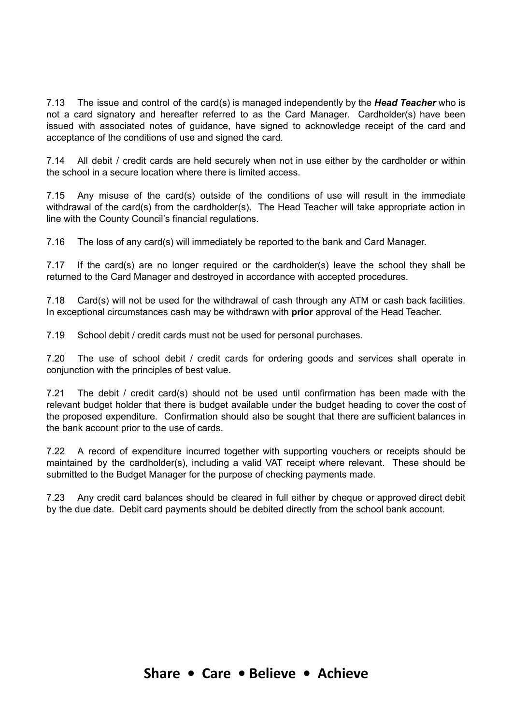7.13 The issue and control of the card(s) is managed independently by the *Head Teacher* who is not a card signatory and hereafter referred to as the Card Manager. Cardholder(s) have been issued with associated notes of guidance, have signed to acknowledge receipt of the card and acceptance of the conditions of use and signed the card.

7.14 All debit / credit cards are held securely when not in use either by the cardholder or within the school in a secure location where there is limited access.

7.15 Any misuse of the card(s) outside of the conditions of use will result in the immediate withdrawal of the card(s) from the cardholder(s). The Head Teacher will take appropriate action in line with the County Council's financial regulations.

7.16 The loss of any card(s) will immediately be reported to the bank and Card Manager.

7.17 If the card(s) are no longer required or the cardholder(s) leave the school they shall be returned to the Card Manager and destroyed in accordance with accepted procedures.

7.18 Card(s) will not be used for the withdrawal of cash through any ATM or cash back facilities. In exceptional circumstances cash may be withdrawn with **prior** approval of the Head Teacher.

7.19 School debit / credit cards must not be used for personal purchases.

7.20 The use of school debit / credit cards for ordering goods and services shall operate in conjunction with the principles of best value.

7.21 The debit / credit card(s) should not be used until confirmation has been made with the relevant budget holder that there is budget available under the budget heading to cover the cost of the proposed expenditure. Confirmation should also be sought that there are sufficient balances in the bank account prior to the use of cards.

7.22 A record of expenditure incurred together with supporting vouchers or receipts should be maintained by the cardholder(s), including a valid VAT receipt where relevant. These should be submitted to the Budget Manager for the purpose of checking payments made.

7.23 Any credit card balances should be cleared in full either by cheque or approved direct debit by the due date. Debit card payments should be debited directly from the school bank account.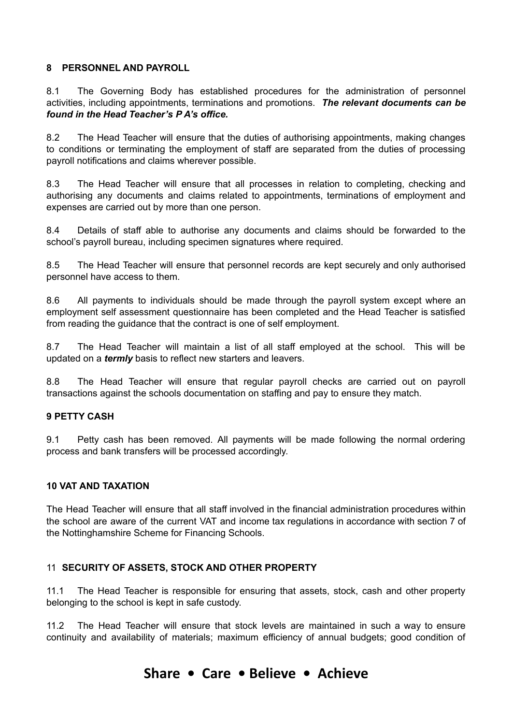## **8 PERSONNEL AND PAYROLL**

8.1 The Governing Body has established procedures for the administration of personnel activities, including appointments, terminations and promotions. *The relevant documents can be found in the Head Teacher's P A's office.*

8.2 The Head Teacher will ensure that the duties of authorising appointments, making changes to conditions or terminating the employment of staff are separated from the duties of processing payroll notifications and claims wherever possible.

8.3 The Head Teacher will ensure that all processes in relation to completing, checking and authorising any documents and claims related to appointments, terminations of employment and expenses are carried out by more than one person.

8.4 Details of staff able to authorise any documents and claims should be forwarded to the school's payroll bureau, including specimen signatures where required.

8.5 The Head Teacher will ensure that personnel records are kept securely and only authorised personnel have access to them.

8.6 All payments to individuals should be made through the payroll system except where an employment self assessment questionnaire has been completed and the Head Teacher is satisfied from reading the guidance that the contract is one of self employment.

8.7 The Head Teacher will maintain a list of all staff employed at the school. This will be updated on a *termly* basis to reflect new starters and leavers.

8.8 The Head Teacher will ensure that regular payroll checks are carried out on payroll transactions against the schools documentation on staffing and pay to ensure they match.

## **9 PETTY CASH**

9.1 Petty cash has been removed. All payments will be made following the normal ordering process and bank transfers will be processed accordingly.

## **10 VAT AND TAXATION**

The Head Teacher will ensure that all staff involved in the financial administration procedures within the school are aware of the current VAT and income tax regulations in accordance with section 7 of the Nottinghamshire Scheme for Financing Schools.

## 11 **SECURITY OF ASSETS, STOCK AND OTHER PROPERTY**

11.1 The Head Teacher is responsible for ensuring that assets, stock, cash and other property belonging to the school is kept in safe custody.

11.2 The Head Teacher will ensure that stock levels are maintained in such a way to ensure continuity and availability of materials; maximum efficiency of annual budgets; good condition of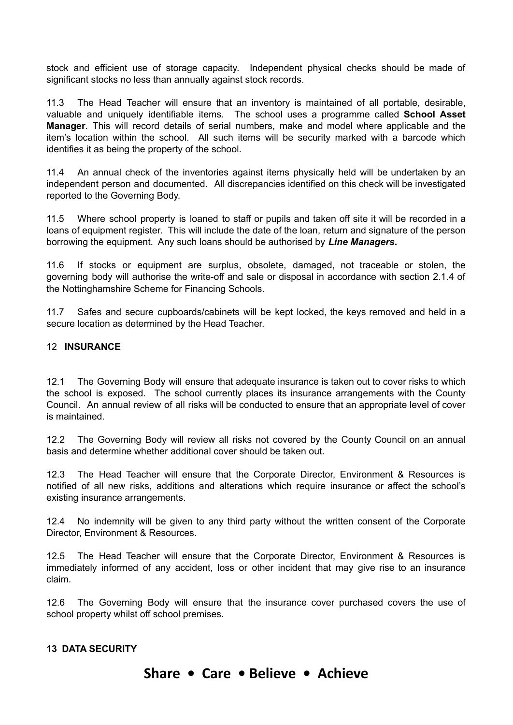stock and efficient use of storage capacity. Independent physical checks should be made of significant stocks no less than annually against stock records.

11.3 The Head Teacher will ensure that an inventory is maintained of all portable, desirable, valuable and uniquely identifiable items. The school uses a programme called **School Asset Manager**. This will record details of serial numbers, make and model where applicable and the item's location within the school. All such items will be security marked with a barcode which identifies it as being the property of the school.

11.4 An annual check of the inventories against items physically held will be undertaken by an independent person and documented. All discrepancies identified on this check will be investigated reported to the Governing Body.

11.5 Where school property is loaned to staff or pupils and taken off site it will be recorded in a loans of equipment register. This will include the date of the loan, return and signature of the person borrowing the equipment. Any such loans should be authorised by *Line Managers***.**

11.6 If stocks or equipment are surplus, obsolete, damaged, not traceable or stolen, the governing body will authorise the write-off and sale or disposal in accordance with section 2.1.4 of the Nottinghamshire Scheme for Financing Schools.

11.7 Safes and secure cupboards/cabinets will be kept locked, the keys removed and held in a secure location as determined by the Head Teacher.

## 12 **INSURANCE**

12.1 The Governing Body will ensure that adequate insurance is taken out to cover risks to which the school is exposed. The school currently places its insurance arrangements with the County Council. An annual review of all risks will be conducted to ensure that an appropriate level of cover is maintained.

12.2 The Governing Body will review all risks not covered by the County Council on an annual basis and determine whether additional cover should be taken out.

12.3 The Head Teacher will ensure that the Corporate Director, Environment & Resources is notified of all new risks, additions and alterations which require insurance or affect the school's existing insurance arrangements.

12.4 No indemnity will be given to any third party without the written consent of the Corporate Director, Environment & Resources.

12.5 The Head Teacher will ensure that the Corporate Director, Environment & Resources is immediately informed of any accident, loss or other incident that may give rise to an insurance claim.

12.6 The Governing Body will ensure that the insurance cover purchased covers the use of school property whilst off school premises.

## **13 DATA SECURITY**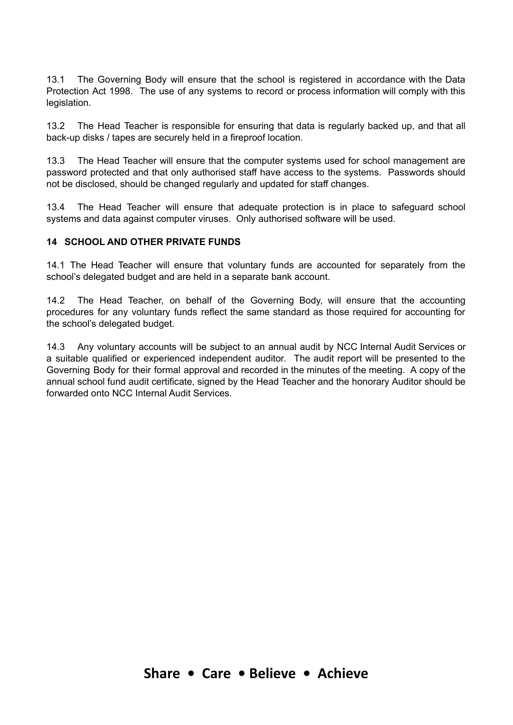13.1 The Governing Body will ensure that the school is registered in accordance with the Data Protection Act 1998. The use of any systems to record or process information will comply with this legislation.

13.2 The Head Teacher is responsible for ensuring that data is regularly backed up, and that all back-up disks / tapes are securely held in a fireproof location.

13.3 The Head Teacher will ensure that the computer systems used for school management are password protected and that only authorised staff have access to the systems. Passwords should not be disclosed, should be changed regularly and updated for staff changes.

13.4 The Head Teacher will ensure that adequate protection is in place to safeguard school systems and data against computer viruses. Only authorised software will be used.

## **14 SCHOOL AND OTHER PRIVATE FUNDS**

14.1 The Head Teacher will ensure that voluntary funds are accounted for separately from the school's delegated budget and are held in a separate bank account.

14.2 The Head Teacher, on behalf of the Governing Body, will ensure that the accounting procedures for any voluntary funds reflect the same standard as those required for accounting for the school's delegated budget.

14.3 Any voluntary accounts will be subject to an annual audit by NCC Internal Audit Services or a suitable qualified or experienced independent auditor. The audit report will be presented to the Governing Body for their formal approval and recorded in the minutes of the meeting. A copy of the annual school fund audit certificate, signed by the Head Teacher and the honorary Auditor should be forwarded onto NCC Internal Audit Services.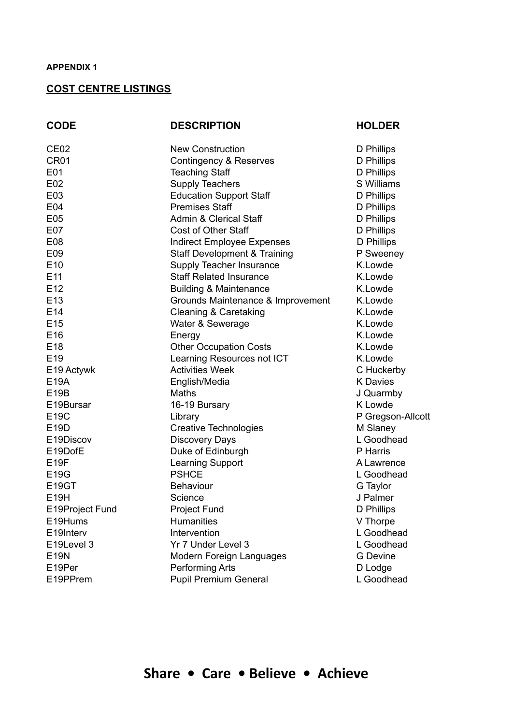#### **APPENDIX 1**

#### **COST CENTRE LISTINGS**

CE02 New Construction D Phillips CR01 Contingency & Reserves D Phillips E01 Teaching Staff D Phillips E02 Supply Teachers Supply Teachers S Williams E03 Education Support Staff D Phillips E04 Premises Staff D Phillips E05 Admin & Clerical Staff D Phillips E07 Cost of Other Staff D Phillips E08 Indirect Employee Expenses D Phillips E09 Staff Development & Training P Sweeney E10 Supply Teacher Insurance K.Lowde E11 Staff Related Insurance **K.Lowde** E12 Building & Maintenance K.Lowde E13 Grounds Maintenance & Improvement K.Lowde E14 Cleaning & Caretaking Careta Careta K.Lowde E15 Communication Controller Water & Sewerage Communication Communication Communication Communication Communication Communication Communication Communication Communication Communication Communication Communication Communic E16 Energy Energy Energy K.Lowde E18 Other Occupation Costs K.Lowde E19 Learning Resources not ICT K.Lowde E19 Actywk Activities Week C Huckerby E19A English/Media K Davies E19B Maths J Quarmby E19Bursar 16-19 Bursary K Lowde E19C Library Library P Gregson-Allcott E19D Creative Technologies M Slaney E19Discov Discovery Days L Goodhead E19DofE Duke of Edinburgh P Harris E19F Learning Support A Lawrence E19G PSHCE L Goodhead E19GT Behaviour Behaviour G Taylor E19H Science Science J Palmer E19Project Fund Project Fund D Phillips E19Hums Humanities **Humanities** V Thorpe E19Interv Intervention Coodhead E19Level 3 Yr 7 Under Level 3 L Goodhead E19N Modern Foreign Languages G Devine E19Per **Performing Arts** Performing Arts **D** Lodge E19PPrem Pupil Premium General L Goodhead

#### **CODE DESCRIPTION HOLDER**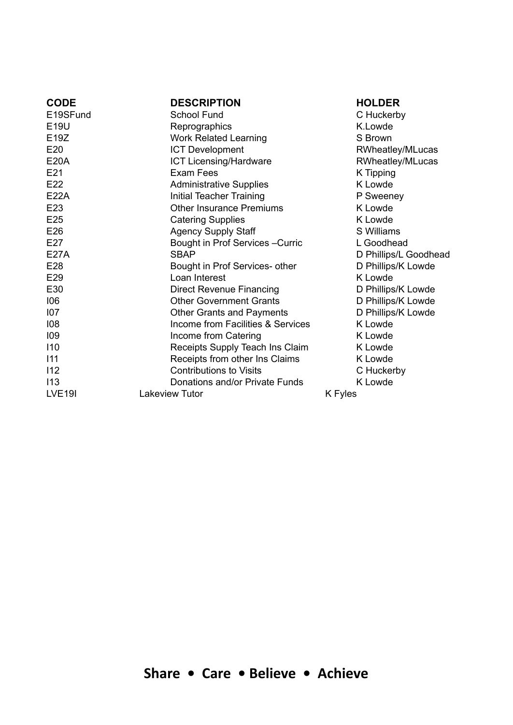| <b>CODE</b>   | <b>DESCRIPTION</b>                | <b>HOLDER</b>         |
|---------------|-----------------------------------|-----------------------|
| E19SFund      | School Fund                       | C Huckerby            |
| E19U          | Reprographics                     | K.Lowde               |
| E19Z          | <b>Work Related Learning</b>      | S Brown               |
| E20           | <b>ICT Development</b>            | RWheatley/MLucas      |
| <b>E20A</b>   | <b>ICT Licensing/Hardware</b>     | RWheatley/MLucas      |
| E21           | Exam Fees                         | K Tipping             |
| E22           | <b>Administrative Supplies</b>    | K Lowde               |
| E22A          | Initial Teacher Training          | P Sweeney             |
| E23           | <b>Other Insurance Premiums</b>   | K Lowde               |
| E25           | <b>Catering Supplies</b>          | K Lowde               |
| E26           | <b>Agency Supply Staff</b>        | S Williams            |
| E27           | Bought in Prof Services - Curric  | L Goodhead            |
| <b>E27A</b>   | <b>SBAP</b>                       | D Phillips/L Goodhead |
| E28           | Bought in Prof Services- other    | D Phillips/K Lowde    |
| E29           | Loan Interest                     | K Lowde               |
| E30           | Direct Revenue Financing          | D Phillips/K Lowde    |
| 106           | <b>Other Government Grants</b>    | D Phillips/K Lowde    |
| 107           | Other Grants and Payments         | D Phillips/K Lowde    |
| 108           | Income from Facilities & Services | K Lowde               |
| 109           | Income from Catering              | K Lowde               |
| 110           | Receipts Supply Teach Ins Claim   | K Lowde               |
| 111           | Receipts from other Ins Claims    | K Lowde               |
| 112           | <b>Contributions to Visits</b>    | C Huckerby            |
| 113           | Donations and/or Private Funds    | K Lowde               |
| <b>LVE19I</b> | Lakeview Tutor                    | K Fyles               |